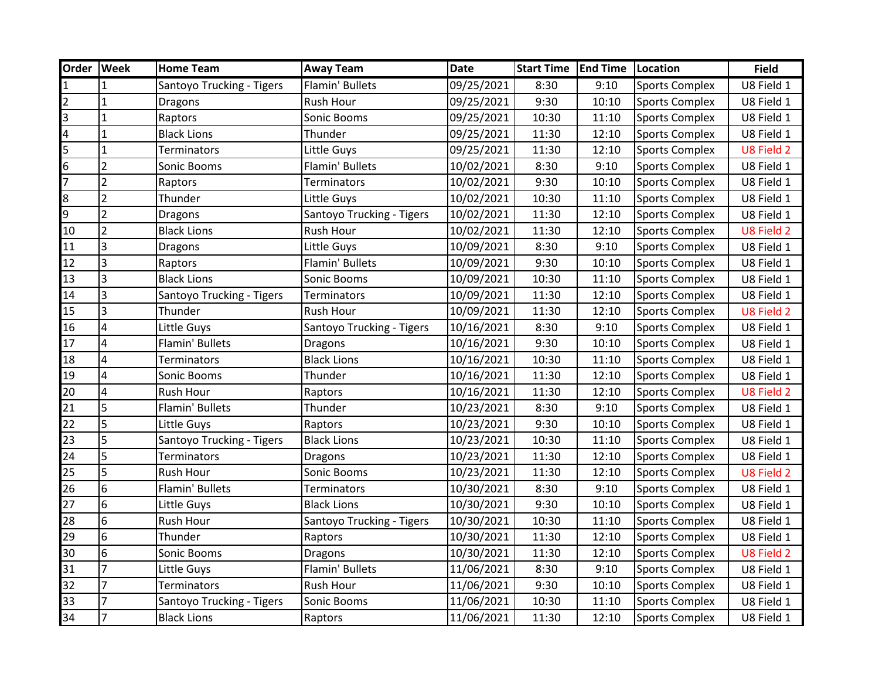| Order                   | <b>Week</b>             | <b>Home Team</b>          | <b>Away Team</b>          | <b>Date</b> | <b>Start Time   End Time</b> |       | Location              | <b>Field</b> |
|-------------------------|-------------------------|---------------------------|---------------------------|-------------|------------------------------|-------|-----------------------|--------------|
| $\mathbf{1}$            |                         | Santoyo Trucking - Tigers | Flamin' Bullets           | 09/25/2021  | 8:30                         | 9:10  | <b>Sports Complex</b> | U8 Field 1   |
| $\overline{2}$          | $\mathbf{1}$            | Dragons                   | Rush Hour                 | 09/25/2021  | 9:30                         | 10:10 | <b>Sports Complex</b> | U8 Field 1   |
| က                       | $\mathbf{1}$            | Raptors                   | Sonic Booms               | 09/25/2021  | 10:30                        | 11:10 | <b>Sports Complex</b> | U8 Field 1   |
| $\overline{\mathbf{4}}$ | $\mathbf{1}$            | <b>Black Lions</b>        | Thunder                   | 09/25/2021  | 11:30                        | 12:10 | <b>Sports Complex</b> | U8 Field 1   |
| 5                       | $\mathbf 1$             | Terminators               | Little Guys               | 09/25/2021  | 11:30                        | 12:10 | <b>Sports Complex</b> | U8 Field 2   |
| $6\overline{6}$         | $\overline{2}$          | Sonic Booms               | Flamin' Bullets           | 10/02/2021  | 8:30                         | 9:10  | <b>Sports Complex</b> | U8 Field 1   |
| $\overline{7}$          | $\overline{2}$          | Raptors                   | <b>Terminators</b>        | 10/02/2021  | 9:30                         | 10:10 | <b>Sports Complex</b> | U8 Field 1   |
| 8                       | $\overline{2}$          | Thunder                   | Little Guys               | 10/02/2021  | 10:30                        | 11:10 | <b>Sports Complex</b> | U8 Field 1   |
| $\overline{9}$          | $\overline{2}$          | Dragons                   | Santoyo Trucking - Tigers | 10/02/2021  | 11:30                        | 12:10 | <b>Sports Complex</b> | U8 Field 1   |
| 10                      | $\overline{2}$          | <b>Black Lions</b>        | Rush Hour                 | 10/02/2021  | 11:30                        | 12:10 | <b>Sports Complex</b> | U8 Field 2   |
| 11                      | $\overline{3}$          | <b>Dragons</b>            | Little Guys               | 10/09/2021  | 8:30                         | 9:10  | <b>Sports Complex</b> | U8 Field 1   |
| 12                      | 3                       | Raptors                   | Flamin' Bullets           | 10/09/2021  | 9:30                         | 10:10 | <b>Sports Complex</b> | U8 Field 1   |
| 13                      | $\vert$ 3               | <b>Black Lions</b>        | Sonic Booms               | 10/09/2021  | 10:30                        | 11:10 | <b>Sports Complex</b> | U8 Field 1   |
| 14                      | $\overline{3}$          | Santoyo Trucking - Tigers | Terminators               | 10/09/2021  | 11:30                        | 12:10 | <b>Sports Complex</b> | U8 Field 1   |
| 15                      | 3                       | Thunder                   | Rush Hour                 | 10/09/2021  | 11:30                        | 12:10 | <b>Sports Complex</b> | U8 Field 2   |
| 16                      | $\overline{\mathbf{4}}$ | Little Guys               | Santoyo Trucking - Tigers | 10/16/2021  | 8:30                         | 9:10  | <b>Sports Complex</b> | U8 Field 1   |
| 17                      | $\overline{\mathbf{4}}$ | Flamin' Bullets           | Dragons                   | 10/16/2021  | 9:30                         | 10:10 | <b>Sports Complex</b> | U8 Field 1   |
| 18                      | $\overline{\mathbf{4}}$ | Terminators               | <b>Black Lions</b>        | 10/16/2021  | 10:30                        | 11:10 | <b>Sports Complex</b> | U8 Field 1   |
| 19                      | $\overline{4}$          | Sonic Booms               | Thunder                   | 10/16/2021  | 11:30                        | 12:10 | <b>Sports Complex</b> | U8 Field 1   |
| 20                      | $\overline{\mathbf{4}}$ | Rush Hour                 | Raptors                   | 10/16/2021  | 11:30                        | 12:10 | <b>Sports Complex</b> | U8 Field 2   |
| $\overline{21}$         | 5                       | Flamin' Bullets           | Thunder                   | 10/23/2021  | 8:30                         | 9:10  | <b>Sports Complex</b> | U8 Field 1   |
| $\overline{22}$         | 5                       | Little Guys               | Raptors                   | 10/23/2021  | 9:30                         | 10:10 | <b>Sports Complex</b> | U8 Field 1   |
| $\overline{23}$         | 5                       | Santoyo Trucking - Tigers | <b>Black Lions</b>        | 10/23/2021  | 10:30                        | 11:10 | <b>Sports Complex</b> | U8 Field 1   |
| 24                      | 5                       | Terminators               | Dragons                   | 10/23/2021  | 11:30                        | 12:10 | <b>Sports Complex</b> | U8 Field 1   |
| 25                      | 5                       | <b>Rush Hour</b>          | Sonic Booms               | 10/23/2021  | 11:30                        | 12:10 | <b>Sports Complex</b> | U8 Field 2   |
| 26                      | 6                       | Flamin' Bullets           | Terminators               | 10/30/2021  | 8:30                         | 9:10  | <b>Sports Complex</b> | U8 Field 1   |
| 27                      | 6                       | Little Guys               | <b>Black Lions</b>        | 10/30/2021  | 9:30                         | 10:10 | <b>Sports Complex</b> | U8 Field 1   |
| 28                      | 6                       | Rush Hour                 | Santoyo Trucking - Tigers | 10/30/2021  | 10:30                        | 11:10 | <b>Sports Complex</b> | U8 Field 1   |
| 29                      | 6                       | Thunder                   | Raptors                   | 10/30/2021  | 11:30                        | 12:10 | <b>Sports Complex</b> | U8 Field 1   |
| 30                      | 6                       | Sonic Booms               | Dragons                   | 10/30/2021  | 11:30                        | 12:10 | <b>Sports Complex</b> | U8 Field 2   |
| 31                      | $\overline{7}$          | Little Guys               | <b>Flamin' Bullets</b>    | 11/06/2021  | 8:30                         | 9:10  | <b>Sports Complex</b> | U8 Field 1   |
| 32                      | $\overline{7}$          | <b>Terminators</b>        | <b>Rush Hour</b>          | 11/06/2021  | 9:30                         | 10:10 | <b>Sports Complex</b> | U8 Field 1   |
| 33                      | $\overline{7}$          | Santoyo Trucking - Tigers | Sonic Booms               | 11/06/2021  | 10:30                        | 11:10 | <b>Sports Complex</b> | U8 Field 1   |
| 34                      | $\overline{7}$          | <b>Black Lions</b>        | Raptors                   | 11/06/2021  | 11:30                        | 12:10 | <b>Sports Complex</b> | U8 Field 1   |